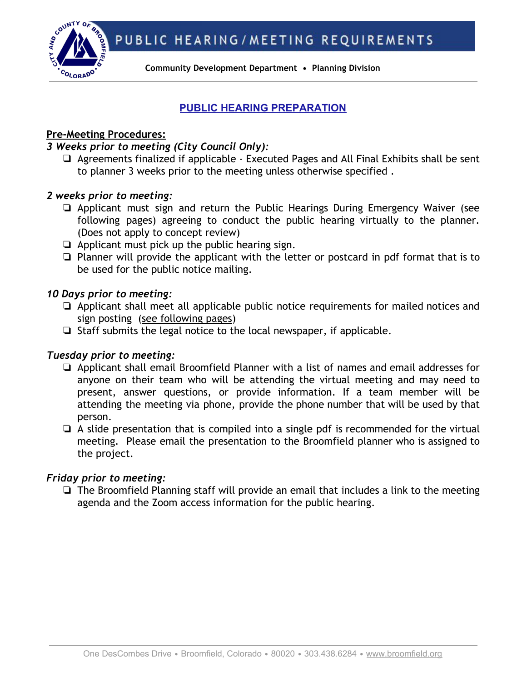PUBLIC HEARING/MEETING REQUIREMENTS



**Community Development Department • Planning Division**

# **PUBLIC HEARING PREPARATION**

## **Pre-Meeting Procedures:**

## *3 Weeks prior to meeting (City Council Only):*

❑ Agreements finalized if applicable - Executed Pages and All Final Exhibits shall be sent to planner 3 weeks prior to the meeting unless otherwise specified .

## *2 weeks prior to meeting:*

- ❏ Applicant must sign and return the Public Hearings During Emergency Waiver (see following pages) agreeing to conduct the public hearing virtually to the planner. (Does not apply to concept review)
- ❏ Applicant must pick up the public hearing sign.
- ❏ Planner will provide the applicant with the letter or postcard in pdf format that is to be used for the public notice mailing.

## *10 Days prior to meeting:*

- ❏ Applicant shall meet all applicable public notice requirements for mailed notices and sign posting (see following pages)
- ❏ Staff submits the legal notice to the local newspaper, if applicable.

# *Tuesday prior to meeting:*

- ❏ Applicant shall email Broomfield Planner with a list of names and email addresses for anyone on their team who will be attending the virtual meeting and may need to present, answer questions, or provide information. If a team member will be attending the meeting via phone, provide the phone number that will be used by that person.
- ❏ A slide presentation that is compiled into a single pdf is recommended for the virtual meeting. Please email the presentation to the Broomfield planner who is assigned to the project.

# *Friday prior to meeting:*

❏ The Broomfield Planning staff will provide an email that includes a link to the meeting agenda and the Zoom access information for the public hearing.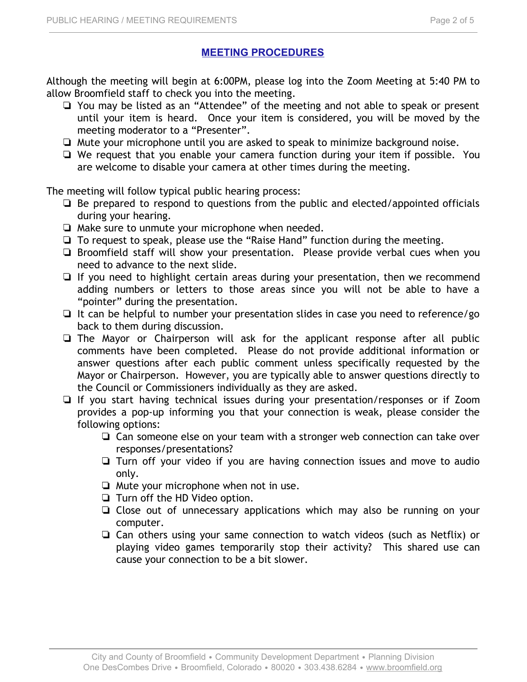# **MEETING PROCEDURES**

Although the meeting will begin at 6:00PM, please log into the Zoom Meeting at 5:40 PM to allow Broomfield staff to check you into the meeting.

- ❏ You may be listed as an "Attendee" of the meeting and not able to speak or present until your item is heard. Once your item is considered, you will be moved by the meeting moderator to a "Presenter".
- ❏ Mute your microphone until you are asked to speak to minimize background noise.
- ❏ We request that you enable your camera function during your item if possible. You are welcome to disable your camera at other times during the meeting.

The meeting will follow typical public hearing process:

- ❏ Be prepared to respond to questions from the public and elected/appointed officials during your hearing.
- ❏ Make sure to unmute your microphone when needed.
- ❏ To request to speak, please use the "Raise Hand" function during the meeting.
- ❏ Broomfield staff will show your presentation. Please provide verbal cues when you need to advance to the next slide.
- ❏ If you need to highlight certain areas during your presentation, then we recommend adding numbers or letters to those areas since you will not be able to have a "pointer" during the presentation.
- ❏ It can be helpful to number your presentation slides in case you need to reference/go back to them during discussion.
- ❏ The Mayor or Chairperson will ask for the applicant response after all public comments have been completed. Please do not provide additional information or answer questions after each public comment unless specifically requested by the Mayor or Chairperson. However, you are typically able to answer questions directly to the Council or Commissioners individually as they are asked.
- ❏ If you start having technical issues during your presentation/responses or if Zoom provides a pop-up informing you that your connection is weak, please consider the following options:
	- ❏ Can someone else on your team with a stronger web connection can take over responses/presentations?
	- ❏ Turn off your video if you are having connection issues and move to audio only.
	- ❏ Mute your microphone when not in use.
	- ❏ Turn off the HD Video option.
	- ❏ Close out of unnecessary applications which may also be running on your computer.
	- ❏ Can others using your same connection to watch videos (such as Netflix) or playing video games temporarily stop their activity? This shared use can cause your connection to be a bit slower.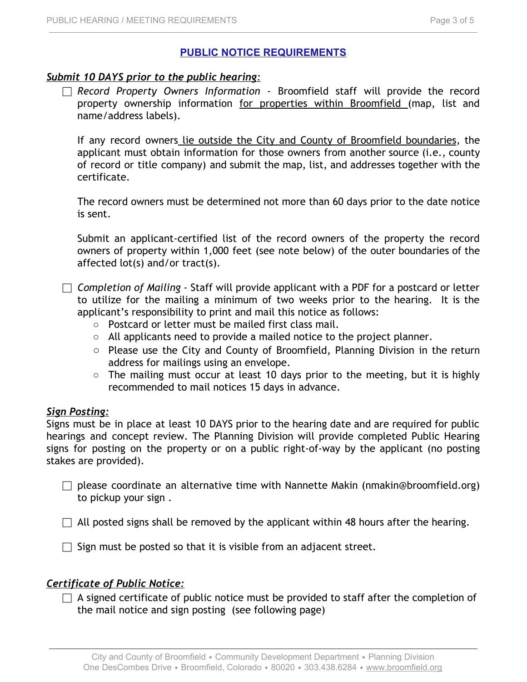# **PUBLIC NOTICE REQUIREMENTS**

# *Submit 10 DAYS prior to the public hearing:*

⬜ *Record Property Owners Information* - Broomfield staff will provide the record property ownership information for properties within Broomfield (map, list and name/address labels).

If any record owners lie outside the City and County of Broomfield boundaries, the applicant must obtain information for those owners from another source (i.e., county of record or title company) and submit the map, list, and addresses together with the certificate.

The record owners must be determined not more than 60 days prior to the date notice is sent.

Submit an applicant-certified list of the record owners of the property the record owners of property within 1,000 feet (see note below) of the outer boundaries of the affected lot(s) and/or tract(s).

⬜ *Completion of Mailing* - Staff will provide applicant with a PDF for a postcard or letter to utilize for the mailing a minimum of two weeks prior to the hearing. It is the applicant's responsibility to print and mail this notice as follows:

- Postcard or letter must be mailed first class mail.
- All applicants need to provide a mailed notice to the project planner.
- Please use the City and County of Broomfield, Planning Division in the return address for mailings using an envelope.
- The mailing must occur at least 10 days prior to the meeting, but it is highly recommended to mail notices 15 days in advance.

#### *Sign Posting:*

Signs must be in place at least 10 DAYS prior to the hearing date and are required for public hearings and concept review. The Planning Division will provide completed Public Hearing signs for posting on the property or on a public right-of-way by the applicant (no posting stakes are provided).

 $\Box$  please coordinate an alternative time with Nannette Makin (nmakin@broomfield.org) to pickup your sign .

 $\Box$  All posted signs shall be removed by the applicant within 48 hours after the hearing.

 $\Box$  Sign must be posted so that it is visible from an adjacent street.

#### *Certificate of Public Notice:*

 $\Box$  A signed certificate of public notice must be provided to staff after the completion of the mail notice and sign posting (see following page)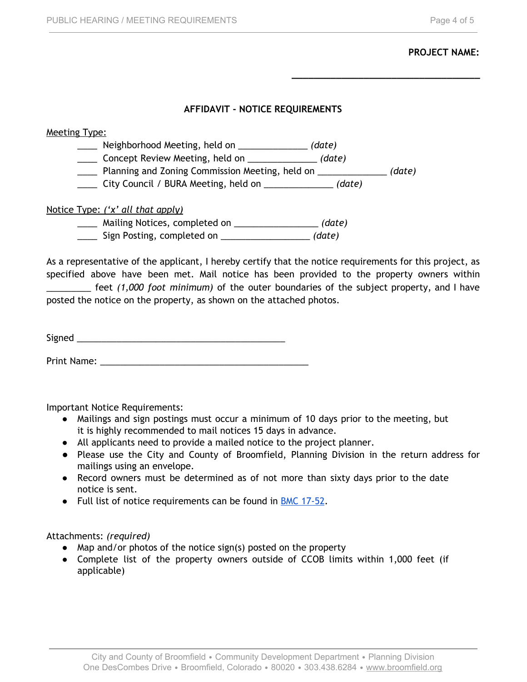#### **PROJECT NAME:**

**\_\_\_\_\_\_\_\_\_\_\_\_\_\_\_\_\_\_\_\_\_\_\_\_\_\_\_\_\_\_\_\_\_\_**

#### **AFFIDAVIT - NOTICE REQUIREMENTS**

#### Meeting Type:

\_\_\_\_ Neighborhood Meeting, held on \_\_\_\_\_\_\_\_\_\_\_\_\_\_ *(date)*

\_\_\_\_ Concept Review Meeting, held on \_\_\_\_\_\_\_\_\_\_\_\_\_\_ *(date)*

\_\_\_\_ Planning and Zoning Commission Meeting, held on \_\_\_\_\_\_\_\_\_\_\_\_\_\_ *(date)*

\_\_\_\_ City Council / BURA Meeting, held on \_\_\_\_\_\_\_\_\_\_\_\_\_\_ *(date)*

#### Notice Type: *('x' all that apply)*

\_\_\_\_ Mailing Notices, completed on \_\_\_\_\_\_\_\_\_\_\_\_\_\_\_\_\_ *(date)*

\_\_\_\_ Sign Posting, completed on \_\_\_\_\_\_\_\_\_\_\_\_\_\_\_\_\_\_ *(date)*

As a representative of the applicant, I hereby certify that the notice requirements for this project, as specified above have been met. Mail notice has been provided to the property owners within \_\_\_\_\_\_\_\_\_ feet *(1,000 foot minimum)* of the outer boundaries of the subject property, and I have

posted the notice on the property, as shown on the attached photos.

Signed \_\_\_\_\_\_\_\_\_\_\_\_\_\_\_\_\_\_\_\_\_\_\_\_\_\_\_\_\_\_\_\_\_\_\_\_\_\_\_\_\_\_

Print Name: Latter and the set of the set of the set of the set of the set of the set of the set of the set of the set of the set of the set of the set of the set of the set of the set of the set of the set of the set of t

Important Notice Requirements:

- Mailings and sign postings must occur a minimum of 10 days prior to the meeting, but it is highly recommended to mail notices 15 days in advance.
- All applicants need to provide a mailed notice to the project planner.
- Please use the City and County of Broomfield, Planning Division in the return address for mailings using an envelope.
- Record owners must be determined as of not more than sixty days prior to the date notice is sent.
- Full list of notice requirements can be found in **BMC [17-52](https://library.municode.com/co/broomfield/codes/municipal_code?nodeId=TIT17ZO_CH17-52PUNORE).**

#### Attachments: *(required)*

- Map and/or photos of the notice sign(s) posted on the property
- Complete list of the property owners outside of CCOB limits within 1,000 feet (if applicable)